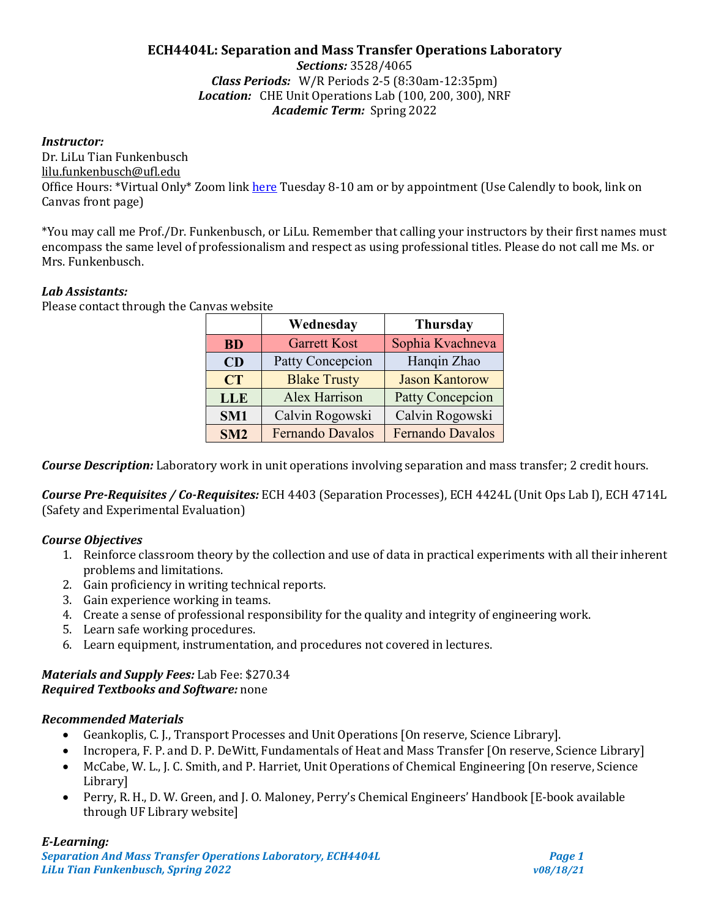# **ECH4404L: Separation and Mass Transfer Operations Laboratory**

*Sections:* 3528/4065 *Class Periods:* W/R Periods 2-5 (8:30am-12:35pm) *Location:* CHE Unit Operations Lab (100, 200, 300), NRF *Academic Term:* Spring 2022

### *Instructor:*

Dr. LiLu Tian Funkenbusch lilu.funkenbusch@ufl.edu Office Hours: \*Virtual Only\* Zoom lin[k here](https://ufl.zoom.us/j/97516856244?pwd=dUNiRm5NSkN1cWdrUzl4SWVBT0Z5dz09) Tuesday 8-10 am or by appointment (Use Calendly to book, link on Canvas front page)

\*You may call me Prof./Dr. Funkenbusch, or LiLu. Remember that calling your instructors by their first names must encompass the same level of professionalism and respect as using professional titles. Please do not call me Ms. or Mrs. Funkenbusch.

### *Lab Assistants:*

| Wednesday       |                     | <b>Thursday</b>         |  |
|-----------------|---------------------|-------------------------|--|
| <b>BD</b>       | <b>Garrett Kost</b> | Sophia Kvachneva        |  |
| CD              | Patty Concepcion    | Hanqin Zhao             |  |
| <b>CT</b>       | <b>Blake Trusty</b> | <b>Jason Kantorow</b>   |  |
| <b>LLE</b>      | Alex Harrison       | <b>Patty Concepcion</b> |  |
| SM <sub>1</sub> | Calvin Rogowski     | Calvin Rogowski         |  |
| SM2             | Fernando Davalos    | Fernando Davalos        |  |

Please contact through the Canvas website

*Course Description:* Laboratory work in unit operations involving separation and mass transfer; 2 credit hours.

*Course Pre-Requisites / Co-Requisites:* ECH 4403 (Separation Processes), ECH 4424L (Unit Ops Lab I), ECH 4714L (Safety and Experimental Evaluation)

### *Course Objectives*

- 1. Reinforce classroom theory by the collection and use of data in practical experiments with all their inherent problems and limitations.
- 2. Gain proficiency in writing technical reports.
- 3. Gain experience working in teams.
- 4. Create a sense of professional responsibility for the quality and integrity of engineering work.
- 5. Learn safe working procedures.
- 6. Learn equipment, instrumentation, and procedures not covered in lectures.

### *Materials and Supply Fees:* Lab Fee: \$270.34 *Required Textbooks and Software:* none

### *Recommended Materials*

- Geankoplis, C. J., Transport Processes and Unit Operations [On reserve, Science Library].
- Incropera, F. P. and D. P. DeWitt, Fundamentals of Heat and Mass Transfer [On reserve, Science Library]
- McCabe, W. L., J. C. Smith, and P. Harriet, Unit Operations of Chemical Engineering [On reserve, Science Library]
- Perry, R. H., D. W. Green, and J. O. Maloney, Perry's Chemical Engineers' Handbook [E-book available through UF Library website]

# *E-Learning:*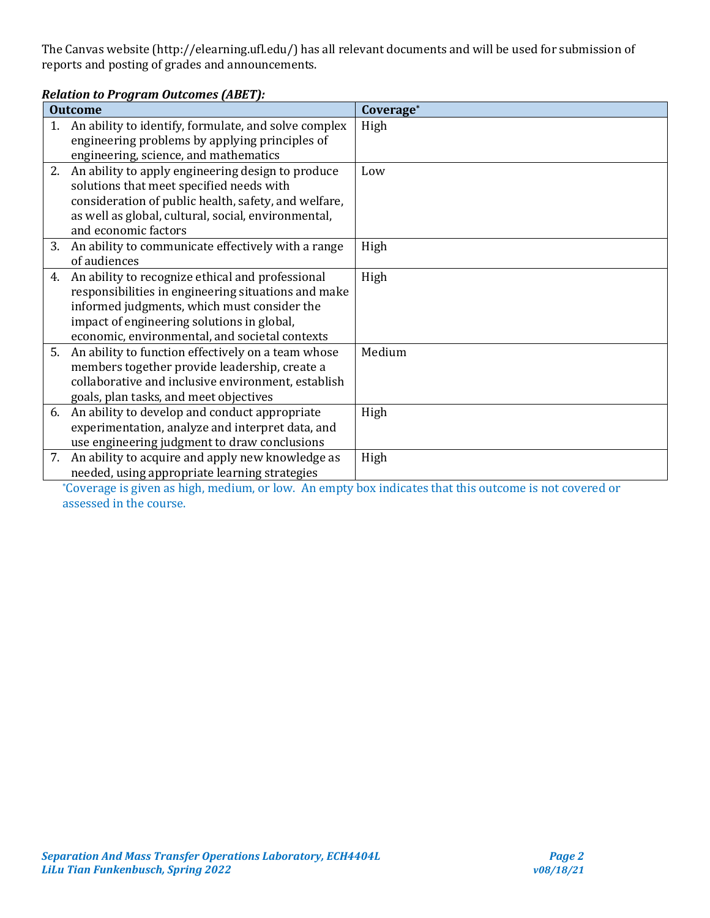The Canvas website (http://elearning.ufl.edu/) has all relevant documents and will be used for submission of reports and posting of grades and announcements.

#### *Relation to Program Outcomes (ABET):* **Outcome Coverage\*** 1. An ability to identify, formulate, and solve complex engineering problems by applying principles of engineering, science, and mathematics High 2. An ability to apply engineering design to produce solutions that meet specified needs with consideration of public health, safety, and welfare, as well as global, cultural, social, environmental, and economic factors Low 3. An ability to communicate effectively with a range of audiences High 4. An ability to recognize ethical and professional responsibilities in engineering situations and make informed judgments, which must consider the impact of engineering solutions in global, economic, environmental, and societal contexts High 5. An ability to function effectively on a team whose members together provide leadership, create a collaborative and inclusive environment, establish goals, plan tasks, and meet objectives Medium 6. An ability to develop and conduct appropriate experimentation, analyze and interpret data, and use engineering judgment to draw conclusions High 7. An ability to acquire and apply new knowledge as needed, using appropriate learning strategies High

\*Coverage is given as high, medium, or low. An empty box indicates that this outcome is not covered or assessed in the course.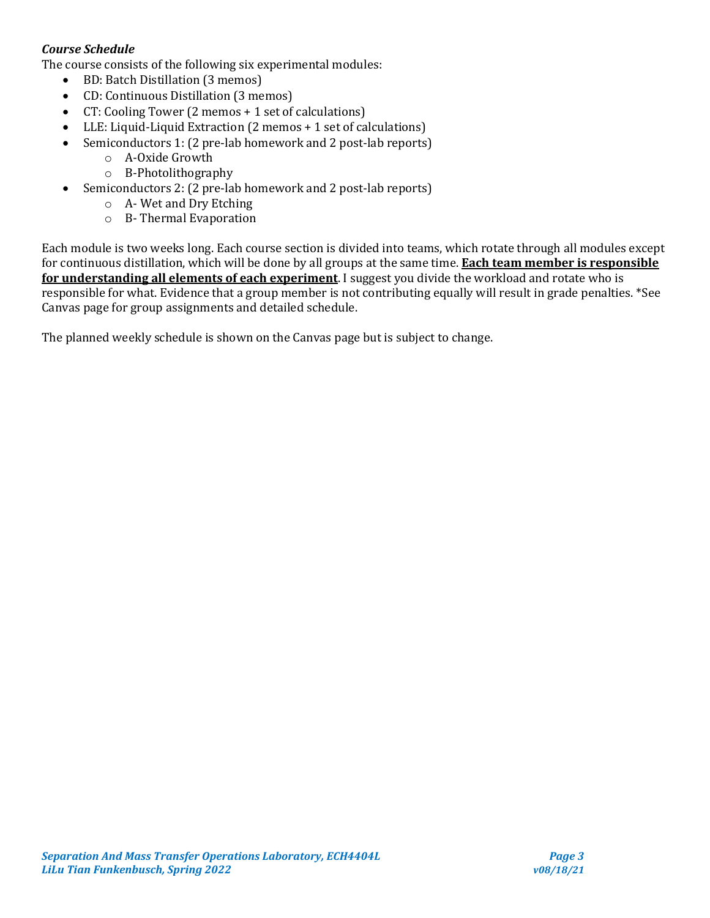# *Course Schedule*

The course consists of the following six experimental modules:

- BD: Batch Distillation (3 memos)
- CD: Continuous Distillation (3 memos)
- CT: Cooling Tower (2 memos + 1 set of calculations)
- LLE: Liquid-Liquid Extraction (2 memos + 1 set of calculations)
- Semiconductors 1: (2 pre-lab homework and 2 post-lab reports)
	- o A-Oxide Growth
	- o B-Photolithography
- Semiconductors 2: (2 pre-lab homework and 2 post-lab reports)
	- o A- Wet and Dry Etching
	- o B- Thermal Evaporation

Each module is two weeks long. Each course section is divided into teams, which rotate through all modules except for continuous distillation, which will be done by all groups at the same time. **Each team member is responsible for understanding all elements of each experiment**. I suggest you divide the workload and rotate who is responsible for what. Evidence that a group member is not contributing equally will result in grade penalties. \*See Canvas page for group assignments and detailed schedule.

The planned weekly schedule is shown on the Canvas page but is subject to change.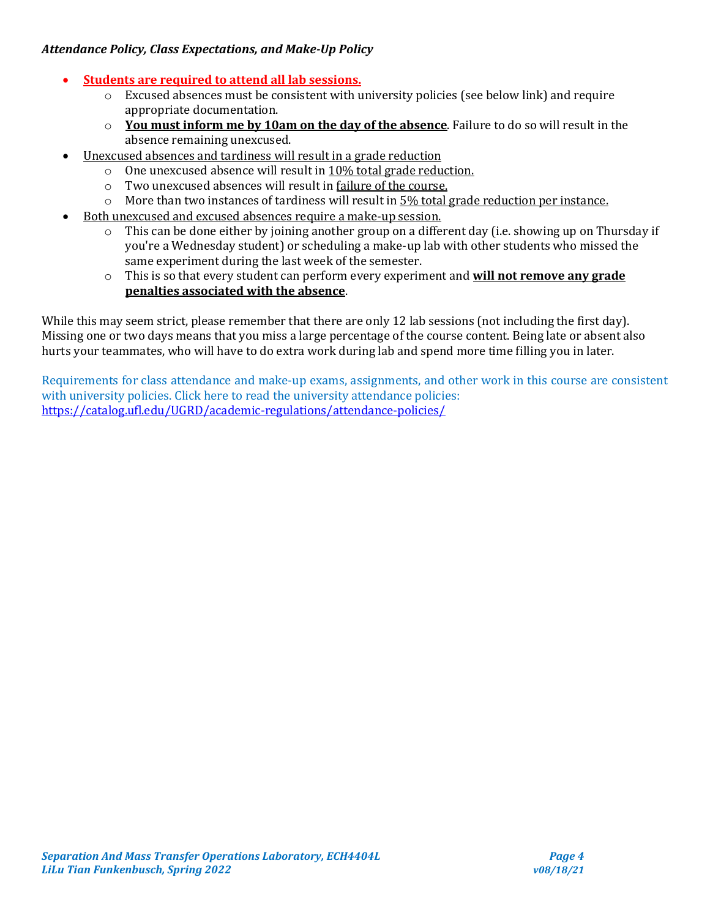# *Attendance Policy, Class Expectations, and Make-Up Policy*

# • **Students are required to attend all lab sessions.**

- $\circ$  Excused absences must be consistent with university policies (see below link) and require appropriate documentation.
- o **You must inform me by 10am on the day of the absence**. Failure to do so will result in the absence remaining unexcused.
- Unexcused absences and tardiness will result in a grade reduction
	- o One unexcused absence will result in 10% total grade reduction.
	- o Two unexcused absences will result in failure of the course.
	- $\circ$  More than two instances of tardiness will result in  $5\%$  total grade reduction per instance.
- Both unexcused and excused absences require a make-up session.
	- o This can be done either by joining another group on a different day (i.e. showing up on Thursday if you're a Wednesday student) or scheduling a make-up lab with other students who missed the same experiment during the last week of the semester.
	- o This is so that every student can perform every experiment and **will not remove any grade penalties associated with the absence**.

While this may seem strict, please remember that there are only 12 lab sessions (not including the first day). Missing one or two days means that you miss a large percentage of the course content. Being late or absent also hurts your teammates, who will have to do extra work during lab and spend more time filling you in later.

Requirements for class attendance and make-up exams, assignments, and other work in this course are consistent with university policies. Click here to read the university attendance policies: <https://catalog.ufl.edu/UGRD/academic-regulations/attendance-policies/>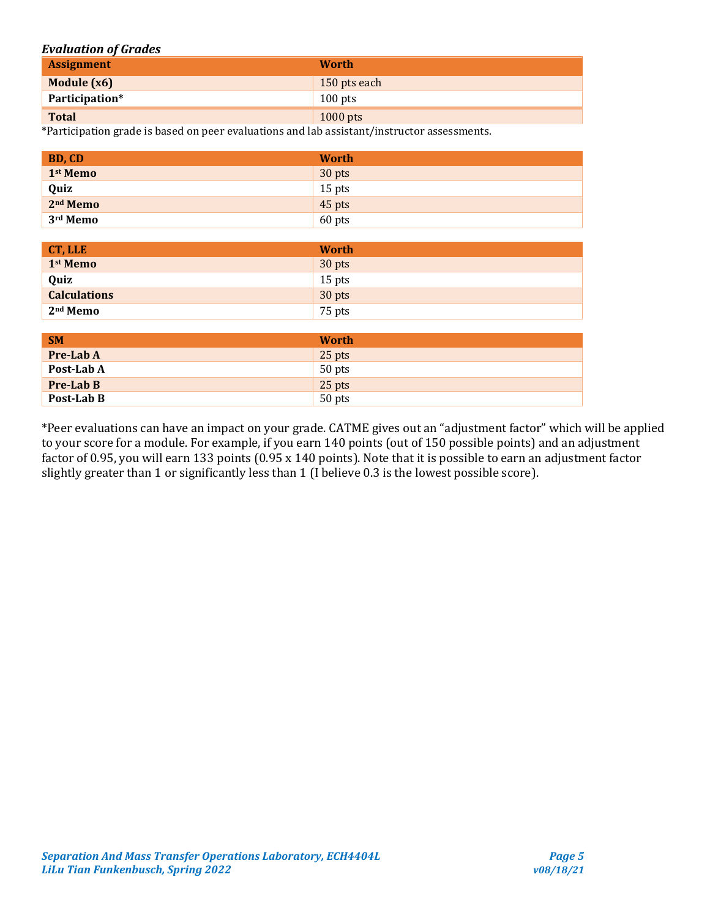#### *Evaluation of Grades*

| <b>Assignment</b> | <b>Worth</b> |
|-------------------|--------------|
| Module (x6)       | 150 pts each |
| Participation*    | $100$ pts    |
| <b>Total</b>      | $1000$ pts   |

\*Participation grade is based on peer evaluations and lab assistant/instructor assessments.

| BD, CD               | <b>Worth</b> |
|----------------------|--------------|
| 1 <sup>st</sup> Memo | 30 pts       |
| Quiz                 | $15$ pts     |
| 2 <sup>nd</sup> Memo | 45 pts       |
| 3 <sup>rd</sup> Memo | 60 pts       |

| CT, LLE              | <b>Worth</b> |
|----------------------|--------------|
| 1 <sup>st</sup> Memo | 30 pts       |
| Quiz                 | $15$ pts     |
| <b>Calculations</b>  | 30 pts       |
| 2 <sup>nd</sup> Memo | 75 pts       |

| <b>SM</b>        | <b>Worth</b> |
|------------------|--------------|
| <b>Pre-Lab A</b> | 25 pts       |
| Post-Lab A       | 50 pts       |
| <b>Pre-Lab B</b> | 25 pts       |
| Post-Lab B       | 50 pts       |

\*Peer evaluations can have an impact on your grade. CATME gives out an "adjustment factor" which will be applied to your score for a module. For example, if you earn 140 points (out of 150 possible points) and an adjustment factor of 0.95, you will earn 133 points (0.95 x 140 points). Note that it is possible to earn an adjustment factor slightly greater than 1 or significantly less than 1 (I believe 0.3 is the lowest possible score).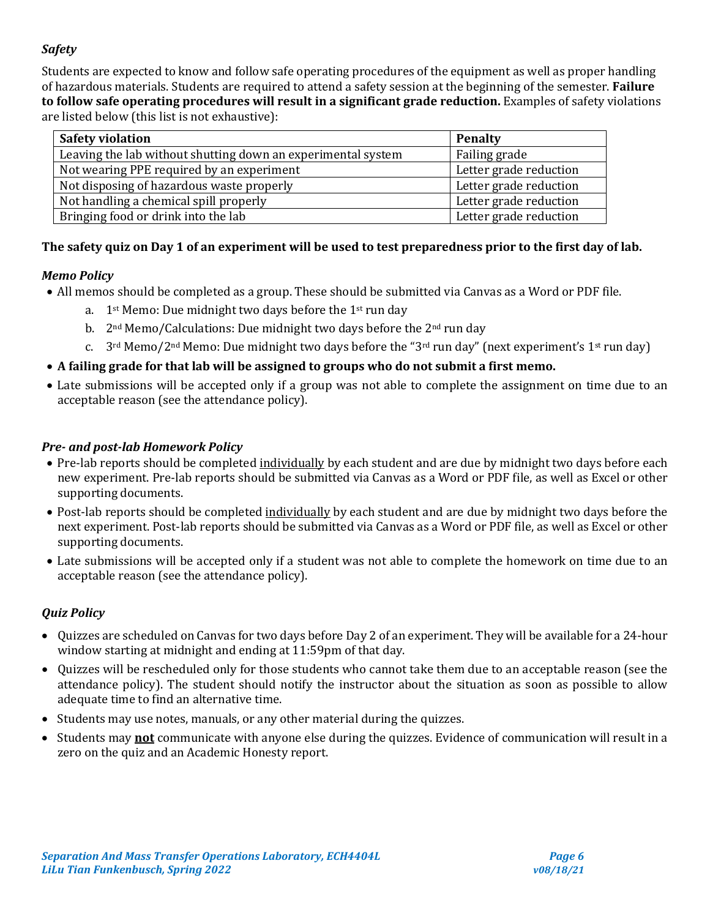# *Safety*

Students are expected to know and follow safe operating procedures of the equipment as well as proper handling of hazardous materials. Students are required to attend a safety session at the beginning of the semester. **Failure to follow safe operating procedures will result in a significant grade reduction.** Examples of safety violations are listed below (this list is not exhaustive):

| <b>Safety violation</b>                                      | <b>Penalty</b>         |
|--------------------------------------------------------------|------------------------|
| Leaving the lab without shutting down an experimental system | Failing grade          |
| Not wearing PPE required by an experiment                    | Letter grade reduction |
| Not disposing of hazardous waste properly                    | Letter grade reduction |
| Not handling a chemical spill properly                       | Letter grade reduction |
| Bringing food or drink into the lab                          | Letter grade reduction |

# **The safety quiz on Day 1 of an experiment will be used to test preparedness prior to the first day of lab.**

# *Memo Policy*

- All memos should be completed as a group. These should be submitted via Canvas as a Word or PDF file.
	- a.  $1^{st}$  Memo: Due midnight two days before the  $1^{st}$  run day
	- b. 2<sup>nd</sup> Memo/Calculations: Due midnight two days before the 2<sup>nd</sup> run day
	- c.  $3^{\text{rd}}$  Memo/2<sup>nd</sup> Memo: Due midnight two days before the "3<sup>rd</sup> run day" (next experiment's 1<sup>st</sup> run day)
- **A failing grade for that lab will be assigned to groups who do not submit a first memo.**
- Late submissions will be accepted only if a group was not able to complete the assignment on time due to an acceptable reason (see the attendance policy).

# *Pre- and post-lab Homework Policy*

- Pre-lab reports should be completed individually by each student and are due by midnight two days before each new experiment. Pre-lab reports should be submitted via Canvas as a Word or PDF file, as well as Excel or other supporting documents.
- Post-lab reports should be completed individually by each student and are due by midnight two days before the next experiment. Post-lab reports should be submitted via Canvas as a Word or PDF file, as well as Excel or other supporting documents.
- Late submissions will be accepted only if a student was not able to complete the homework on time due to an acceptable reason (see the attendance policy).

# *Quiz Policy*

- Quizzes are scheduled on Canvas for two days before Day 2 of an experiment. They will be available for a 24-hour window starting at midnight and ending at 11:59pm of that day.
- Quizzes will be rescheduled only for those students who cannot take them due to an acceptable reason (see the attendance policy). The student should notify the instructor about the situation as soon as possible to allow adequate time to find an alternative time.
- Students may use notes, manuals, or any other material during the quizzes.
- Students may **not** communicate with anyone else during the quizzes. Evidence of communication will result in a zero on the quiz and an Academic Honesty report.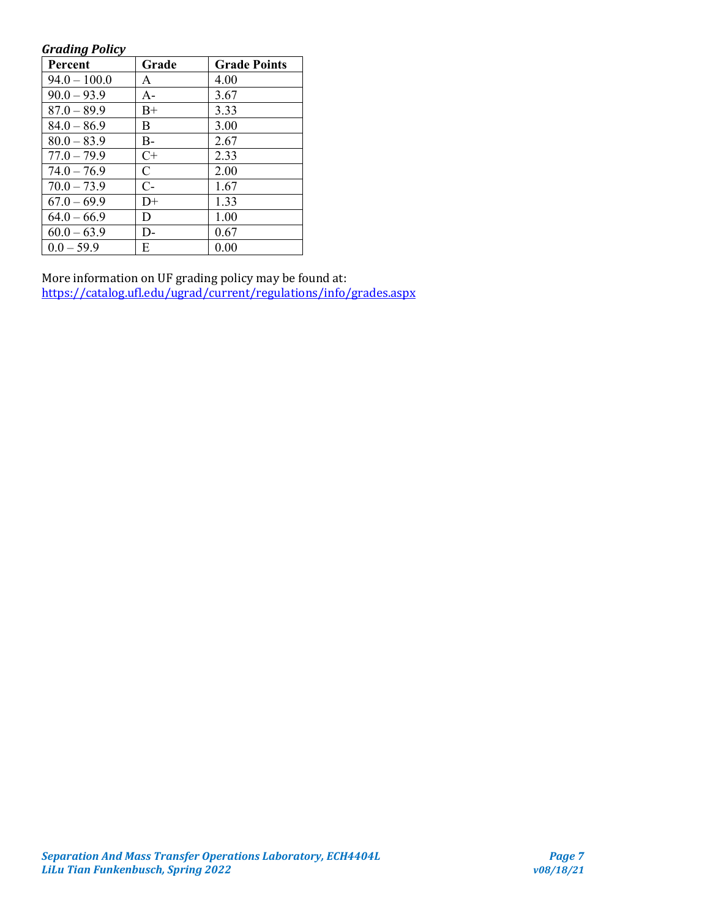#### *Grading Policy*

| <b>Percent</b> | Grade        | <b>Grade Points</b> |
|----------------|--------------|---------------------|
| $94.0 - 100.0$ | A            | 4.00                |
| $90.0 - 93.9$  | $A -$        | 3.67                |
| $87.0 - 89.9$  | B+           | 3.33                |
| $84.0 - 86.9$  | B            | 3.00                |
| $80.0 - 83.9$  | B-           | 2.67                |
| $77.0 - 79.9$  | $C+$         | 2.33                |
| $74.0 - 76.9$  | $\mathsf{C}$ | 2.00                |
| $70.0 - 73.9$  | $C-$         | 1.67                |
| $67.0 - 69.9$  | D+           | 1.33                |
| $64.0 - 66.9$  | D            | 1.00                |
| $60.0 - 63.9$  | D-           | 0.67                |
| $0.0 - 59.9$   | Е            | 0.00                |

More information on UF grading policy may be found at: <https://catalog.ufl.edu/ugrad/current/regulations/info/grades.aspx>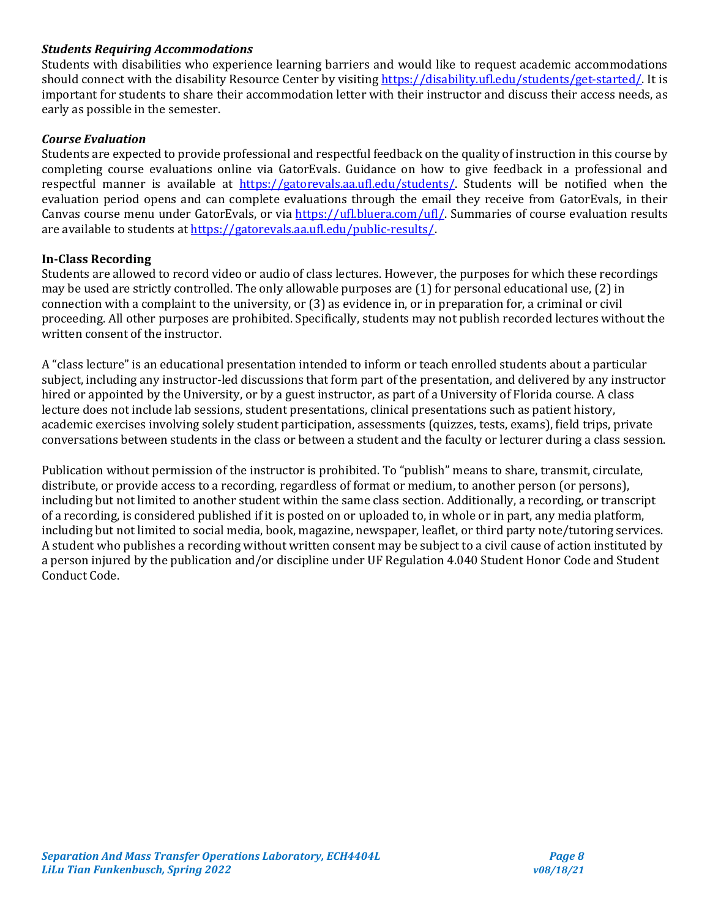### *Students Requiring Accommodations*

Students with disabilities who experience learning barriers and would like to request academic accommodations should connect with the disability Resource Center by visiting [https://disability.ufl.edu/students/get-started/.](https://disability.ufl.edu/students/get-started/) It is important for students to share their accommodation letter with their instructor and discuss their access needs, as early as possible in the semester.

#### *Course Evaluation*

Students are expected to provide professional and respectful feedback on the quality of instruction in this course by completing course evaluations online via GatorEvals. Guidance on how to give feedback in a professional and respectful manner is available at [https://gatorevals.aa.ufl.edu/students/.](https://gatorevals.aa.ufl.edu/students/) Students will be notified when the evaluation period opens and can complete evaluations through the email they receive from GatorEvals, in their Canvas course menu under GatorEvals, or via [https://ufl.bluera.com/ufl/.](https://ufl.bluera.com/ufl/) Summaries of course evaluation results are available to students a[t https://gatorevals.aa.ufl.edu/public-results/.](https://gatorevals.aa.ufl.edu/public-results/)

### **In-Class Recording**

Students are allowed to record video or audio of class lectures. However, the purposes for which these recordings may be used are strictly controlled. The only allowable purposes are (1) for personal educational use, (2) in connection with a complaint to the university, or (3) as evidence in, or in preparation for, a criminal or civil proceeding. All other purposes are prohibited. Specifically, students may not publish recorded lectures without the written consent of the instructor.

A "class lecture" is an educational presentation intended to inform or teach enrolled students about a particular subject, including any instructor-led discussions that form part of the presentation, and delivered by any instructor hired or appointed by the University, or by a guest instructor, as part of a University of Florida course. A class lecture does not include lab sessions, student presentations, clinical presentations such as patient history, academic exercises involving solely student participation, assessments (quizzes, tests, exams), field trips, private conversations between students in the class or between a student and the faculty or lecturer during a class session.

Publication without permission of the instructor is prohibited. To "publish" means to share, transmit, circulate, distribute, or provide access to a recording, regardless of format or medium, to another person (or persons), including but not limited to another student within the same class section. Additionally, a recording, or transcript of a recording, is considered published if it is posted on or uploaded to, in whole or in part, any media platform, including but not limited to social media, book, magazine, newspaper, leaflet, or third party note/tutoring services. A student who publishes a recording without written consent may be subject to a civil cause of action instituted by a person injured by the publication and/or discipline under UF Regulation 4.040 Student Honor Code and Student Conduct Code.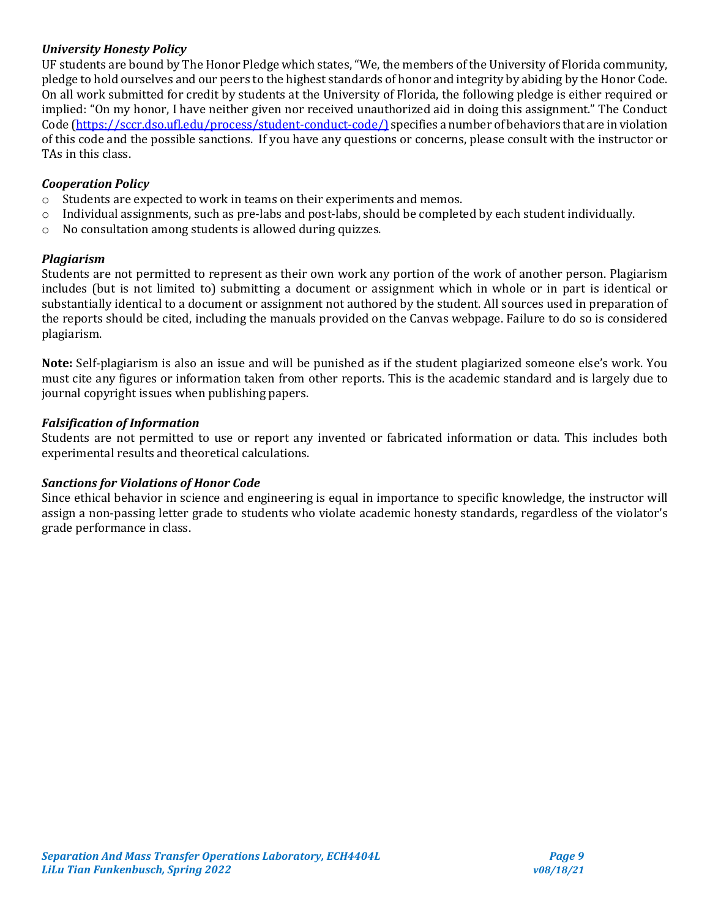# *University Honesty Policy*

UF students are bound by The Honor Pledge which states, "We, the members of the University of Florida community, pledge to hold ourselves and our peers to the highest standards of honor and integrity by abiding by the Honor Code. On all work submitted for credit by students at the University of Florida, the following pledge is either required or implied: "On my honor, I have neither given nor received unauthorized aid in doing this assignment." The Conduct Code [\(https://sccr.dso.ufl.edu/process/student-conduct-code/\)](https://sccr.dso.ufl.edu/process/student-conduct-code/) specifies a number of behaviors that are in violation of this code and the possible sanctions. If you have any questions or concerns, please consult with the instructor or TAs in this class.

# *Cooperation Policy*

- o Students are expected to work in teams on their experiments and memos.
- $\circ$  Individual assignments, such as pre-labs and post-labs, should be completed by each student individually.
- o No consultation among students is allowed during quizzes.

### *Plagiarism*

Students are not permitted to represent as their own work any portion of the work of another person. Plagiarism includes (but is not limited to) submitting a document or assignment which in whole or in part is identical or substantially identical to a document or assignment not authored by the student. All sources used in preparation of the reports should be cited, including the manuals provided on the Canvas webpage. Failure to do so is considered plagiarism.

**Note:** Self-plagiarism is also an issue and will be punished as if the student plagiarized someone else's work. You must cite any figures or information taken from other reports. This is the academic standard and is largely due to journal copyright issues when publishing papers.

### *Falsification of Information*

Students are not permitted to use or report any invented or fabricated information or data. This includes both experimental results and theoretical calculations.

### *Sanctions for Violations of Honor Code*

Since ethical behavior in science and engineering is equal in importance to specific knowledge, the instructor will assign a non-passing letter grade to students who violate academic honesty standards, regardless of the violator's grade performance in class.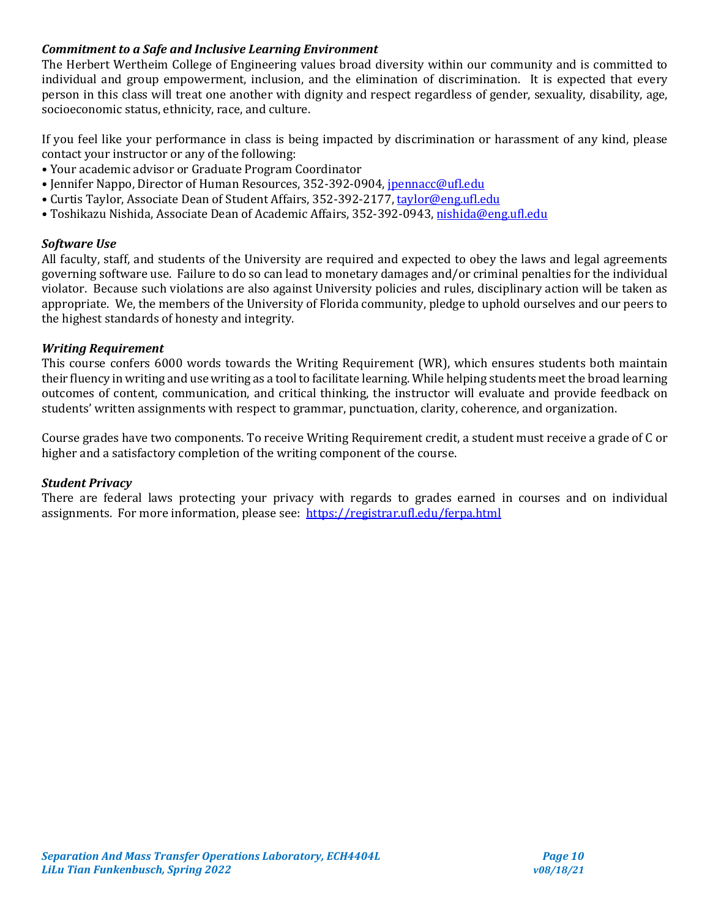# *Commitment to a Safe and Inclusive Learning Environment*

The Herbert Wertheim College of Engineering values broad diversity within our community and is committed to individual and group empowerment, inclusion, and the elimination of discrimination. It is expected that every person in this class will treat one another with dignity and respect regardless of gender, sexuality, disability, age, socioeconomic status, ethnicity, race, and culture.

If you feel like your performance in class is being impacted by discrimination or harassment of any kind, please contact your instructor or any of the following:

- Your academic advisor or Graduate Program Coordinator
- Jennifer Nappo, Director of Human Resources, 352-392-0904, [jpennacc@ufl.edu](mailto:jpennacc@ufl.edu)
- Curtis Taylor, Associate Dean of Student Affairs, 352-392-2177[, taylor@eng.ufl.edu](mailto:taylor@eng.ufl.edu)
- Toshikazu Nishida, Associate Dean of Academic Affairs, 352-392-0943[, nishida@eng.ufl.edu](mailto:nishida@eng.ufl.edu)

### *Software Use*

All faculty, staff, and students of the University are required and expected to obey the laws and legal agreements governing software use. Failure to do so can lead to monetary damages and/or criminal penalties for the individual violator. Because such violations are also against University policies and rules, disciplinary action will be taken as appropriate. We, the members of the University of Florida community, pledge to uphold ourselves and our peers to the highest standards of honesty and integrity.

### *Writing Requirement*

This course confers 6000 words towards the Writing Requirement (WR), which ensures students both maintain their fluency in writing and use writing as a tool to facilitate learning. While helping students meet the broad learning outcomes of content, communication, and critical thinking, the instructor will evaluate and provide feedback on students' written assignments with respect to grammar, punctuation, clarity, coherence, and organization.

Course grades have two components. To receive Writing Requirement credit, a student must receive a grade of C or higher and a satisfactory completion of the writing component of the course.

#### *Student Privacy*

There are federal laws protecting your privacy with regards to grades earned in courses and on individual assignments. For more information, please see: <https://registrar.ufl.edu/ferpa.html>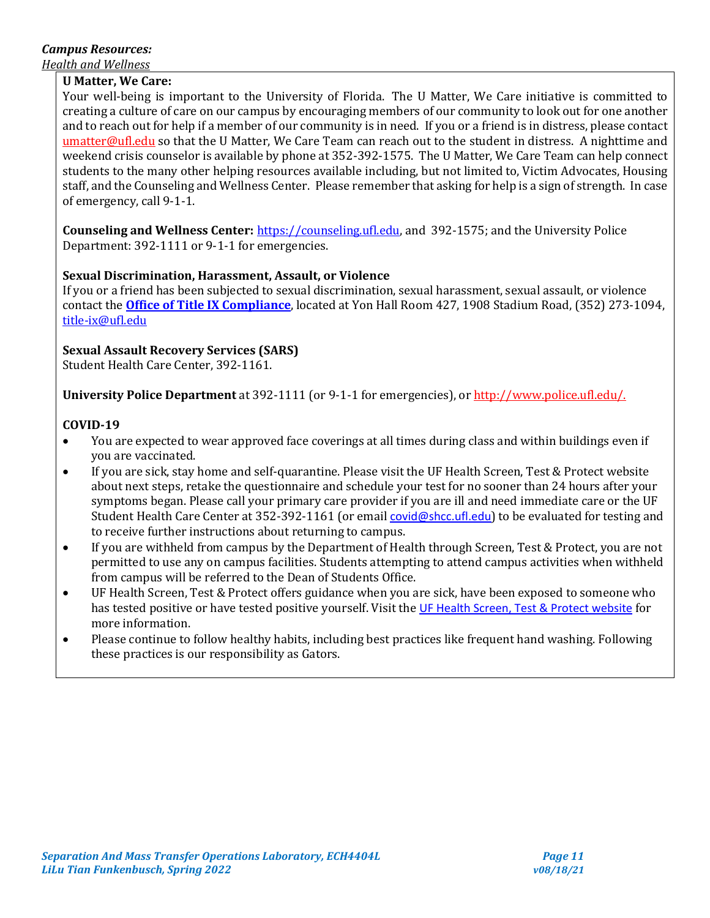# *Campus Resources:*

*Health and Wellness* 

### **U Matter, We Care:**

Your well-being is important to the University of Florida. The U Matter, We Care initiative is committed to creating a culture of care on our campus by encouraging members of our community to look out for one another and to reach out for help if a member of our community is in need. If you or a friend is in distress, please contact [umatter@ufl.edu](mailto:umatter@ufl.edu) so that the U Matter, We Care Team can reach out to the student in distress. A nighttime and weekend crisis counselor is available by phone at 352-392-1575. The U Matter, We Care Team can help connect students to the many other helping resources available including, but not limited to, Victim Advocates, Housing staff, and the Counseling and Wellness Center. Please remember that asking for help is a sign of strength. In case of emergency, call 9-1-1.

**Counseling and Wellness Center:** [https://counseling.ufl.edu,](https://counseling.ufl.edu/) and 392-1575; and the University Police Department: 392-1111 or 9-1-1 for emergencies.

# **Sexual Discrimination, Harassment, Assault, or Violence**

If you or a friend has been subjected to sexual discrimination, sexual harassment, sexual assault, or violence contact the **[Office of Title IX Compliance](https://titleix.ufl.edu/)**, located at Yon Hall Room 427, 1908 Stadium Road, (352) 273-1094, [title-ix@ufl.edu](mailto:title-ix@ufl.edu)

# **Sexual Assault Recovery Services (SARS)**

Student Health Care Center, 392-1161.

**University Police Department** at 392-1111 (or 9-1-1 for emergencies), o[r http://www.police.ufl.edu/.](http://www.police.ufl.edu/)

### **COVID-19**

- You are expected to wear approved face coverings at all times during class and within buildings even if you are vaccinated.
- If you are sick, stay home and self-quarantine. Please visit the UF Health Screen, Test & Protect website about next steps, retake the questionnaire and schedule your test for no sooner than 24 hours after your symptoms began. Please call your primary care provider if you are ill and need immediate care or the UF Student Health Care Center at 352-392-1161 (or email [covid@shcc.ufl.edu](mailto:covid@shcc.ufl.edu)) to be evaluated for testing and to receive further instructions about returning to campus.
- If you are withheld from campus by the Department of Health through Screen, Test & Protect, you are not permitted to use any on campus facilities. Students attempting to attend campus activities when withheld from campus will be referred to the Dean of Students Office.
- UF Health Screen, Test & Protect offers guidance when you are sick, have been exposed to someone who has tested positive or have tested positive yourself. Visit the [UF Health Screen, Test & Protect website](https://click.info.gator360.ufl.edu/?qs=8f0d5e01a3f7385148f144e2089093522a358a8d85cb9db73c31675d3c5e5c0d27748d40c212f544822551342f1912ea5b4f2b890d5952e8) for more information.
- Please continue to follow healthy habits, including best practices like frequent hand washing. Following these practices is our responsibility as Gators.